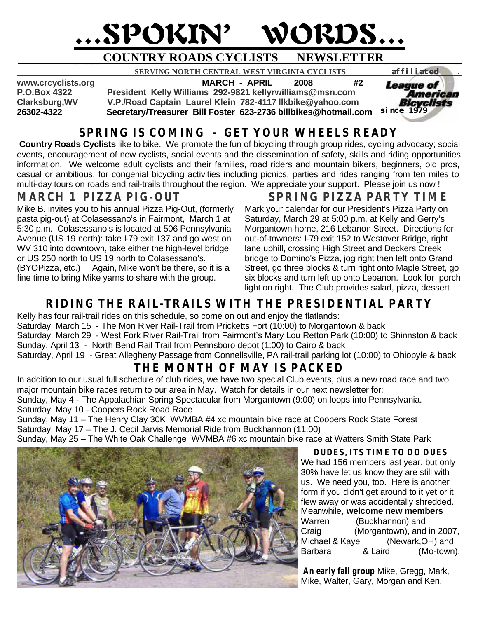# …SPOKIN' WORDS…

# **\_ \_\_\_COUNTRY ROADS CYCLISTS NEWSLETTER\_ \_ \_\_ \_ \_**

**8ERVING NORTH CENTRAL WEST VIRGINIA CYCLISTS affiliated .**<br>**MARCH - APRIL 2008 #2** 

**www.crcyclists.org MARCH - APRIL 2008 #2**

**P.O.Box 4322 President Kelly Williams 292-9821 kellyrwilliams@msn.com**

**Clarksburg,WV V.P./Road Captain Laurel Klein 782-4117 llkbike@yahoo.com 26302-4322 Secretary/Treasurer Bill Foster 623-2736 billbikes@hotmail.com** 

### **SPRING IS COMING - GET YOUR WHEELS READY**

**Country Roads Cyclists** like to bike. We promote the fun of bicycling through group rides, cycling advocacy; social events, encouragement of new cyclists, social events and the dissemination of safety, skills and riding opportunities information. We welcome adult cyclists and their families, road riders and mountain bikers, beginners, old pros, casual or ambitious, for congenial bicycling activities including picnics, parties and rides ranging from ten miles to multi-day tours on roads and rail-trails throughout the region. We appreciate your support. Please join us now !

#### **MARCH 1 PIZZA PIG-OUT**

Mike B. invites you to his annual Pizza Pig-Out, (formerly pasta pig-out) at Colasessano's in Fairmont, March 1 at 5:30 p.m. Colasessano's is located at 506 Pennsylvania Avenue (US 19 north): take I-79 exit 137 and go west on WV 310 into downtown, take either the high-level bridge or US 250 north to US 19 north to Colasessano's. (BYOPizza, etc.) Again, Mike won't be there, so it is a

fine time to bring Mike yarns to share with the group.

### **SPRING PIZZA PARTY TIME**

*since 1979*

American

*League of* 

Mark your calendar for our President's Pizza Party on Saturday, March 29 at 5:00 p.m. at Kelly and Gerry's Morgantown home, 216 Lebanon Street. Directions for out-of-towners: I-79 exit 152 to Westover Bridge, right lane uphill, crossing High Street and Deckers Creek bridge to Domino's Pizza, jog right then left onto Grand Street, go three blocks & turn right onto Maple Street, go six blocks and turn left up onto Lebanon. Look for porch light on right. The Club provides salad, pizza, dessert

## **RIDING THE RAIL-TRAILS WITH THE PRESIDENTIAL PARTY**

Kelly has four rail-trail rides on this schedule, so come on out and enjoy the flatlands: Saturday, March 15 - The Mon River Rail-Trail from Pricketts Fort (10:00) to Morgantown & back Saturday, March 29 - West Fork River Rail-Trail from Fairmont's Mary Lou Retton Park (10:00) to Shinnston & back Sunday, April 13 - North Bend Rail Trail from Pennsboro depot (1:00) to Cairo & back Saturday, April 19 - Great Allegheny Passage from Connellsville, PA rail-trail parking lot (10:00) to Ohiopyle & back

# **THE MONTH OF MAY IS PACKED**

In addition to our usual full schedule of club rides, we have two special Club events, plus a new road race and two major mountain bike races return to our area in May. Watch for details in our next newsletter for:

Sunday, May 4 - The Appalachian Spring Spectacular from Morgantown (9:00) on loops into Pennsylvania. Saturday, May 10 - Coopers Rock Road Race

Sunday, May 11 – The Henry Clay 30K WVMBA #4 xc mountain bike race at Coopers Rock State Forest Saturday, May 17 – The J. Cecil Jarvis Memorial Ride from Buckhannon (11:00)

Sunday, May 25 – The White Oak Challenge WVMBA #6 xc mountain bike race at Watters Smith State Park



**DUDES, ITS TIME TO DO DUES**

We had 156 members last year, but only 30% have let us know they are still with us. We need you, too. Here is another form if you didn't get around to it yet or it flew away or was accidentally shredded. Meanwhile, **welcome new members** Warren (Buckhannon) and Craig (Morgantown), and in 2007, Michael & Kaye (Newark, OH) and Barbara & Laird (Mo-town).

 **An early fall group** Mike, Gregg, Mark, Mike, Walter, Gary, Morgan and Ken.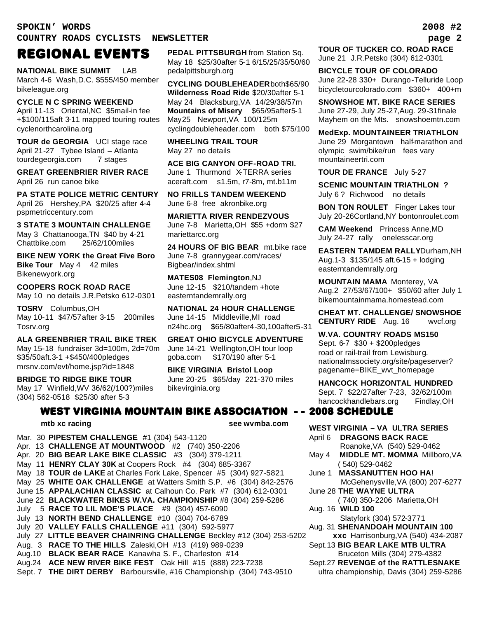**SPOKIN' WORDS 2008 #2 COUNTRY ROADS CYCLISTS NEWSLETTER page 2**

#### REGIONAL EVENTS

**NATIONAL BIKE SUMMIT** LAB March 4-6 Wash,D.C. \$555/450 member bikeleague.org

**CYCLE N C SPRING WEEKEND** April 11-13 Oriental,NC \$5mail-in fee +\$100/115aft 3-11 mapped touring routes cyclenorthcarolina.org

**TOUR de GEORGIA** UCI stage race April 21-27 Tybee Island – Atlanta tourdegeorgia.com 7 stages

**GREAT GREENBRIER RIVER RACE** April 26 run canoe bike

**PA STATE POLICE METRIC CENTURY** April 26 Hershey,PA \$20/25 after 4-4 pspmetriccentury.com

**3 STATE 3 MOUNTAIN CHALLENGE** May 3 Chattanooga,TN \$40 by 4-21 Chattbike.com 25/62/100miles

**BIKE NEW YORK the Great Five Boro Bike Tour** May 4 42 miles Bikenewyork.org

**COOPERS ROCK ROAD RACE** May 10 no details J.R.Petsko 612-0301

**TOSRV** Columbus,OH May 10-11 \$47/57after 3-15 200miles Tosrv.org

**ALA GREENBRIER TRAIL BIKE TREK** May 15-18 fundraiser 3d=100m, 2d=70m \$35/50aft.3-1 +\$450/400pledges mrsnv.com/evt/home.jsp?id=1848

**BRIDGE TO RIDGE BIKE TOUR** May 17 Winfield,WV 36/62(/100?)miles (304) 562-0518 \$25/30 after 5-3

**PEDAL PITTSBURGH** from Station Sq. May 18 \$25/30after 5-1 6/15/25/35/50/60 pedalpittsburgh.org

**CYCLING DOUBLEHEADER**both\$65/90 **Wilderness Road Ride** \$20/30after 5-1 May 24 Blacksburg,VA14/29/38/57m **Mountains of Misery** \$65/95after5-1 May25 Newport,VA 100/125m cyclingdoubleheader.com both \$75/100

**WHEELING TRAIL TOUR**  May 27 no details

**ACE BIG CANYON OFF-ROAD TRI.** June 1 Thurmond X-TERRA series aceraft.com s1.5m, r7-8m, mt.b11m

**NO FRILLS TANDEM WEEKEND** June 6-8 free akronbike.org

**MARIETTA RIVER RENDEZVOUS** June 7-8 Marietta,OH \$55 +dorm \$27 mariettarcc.org

**24 HOURS OF BIG BEAR** mt.bike race June 7-8 grannygear.com/races/ Bigbear/index.shtml

**MATES08 Flemington**,NJ June 12-15 \$210/tandem +hote easterntandemrally.org

**NATIONAL 24 HOUR CHALLENGE** June 14-15 Middleville,MI road n24hc.org \$65/80after4-30,100after5-31

**GREAT OHIO BICYCLE ADVENTURE** June 14-21 Wellington,OH tour loop goba.com \$170/190 after 5-1

**BIKE VIRGINIA Bristol Loop** June 20-25 \$65/day 221-370 miles bikevirginia.org

#### WEST VIRGINIA MOUNTAIN BIKE ASSOCIATION - - 2008 SCHEDULE

**mtb xc racing see wvmba.com** 

Mar. 30 **PIPESTEM CHALLENGE** #1 (304) 543-1120 Apr. 13 **CHALLENGE AT MOUNTWOOD** #2 (740) 350-2206 Apr. 20 **BIG BEAR LAKE BIKE CLASSIC** #3 (304) 379-1211 May 11 **HENRY CLAY 30K** at Coopers Rock #4 (304) 685-3367 May 18 **TOUR de LAKE** at Charles Fork Lake, Spencer #5 (304) 927-5821 May 25 **WHITE OAK CHALLENGE** at Watters Smith S.P. #6 (304) 842-2576 June 15 **APPALACHIAN CLASSIC** at Calhoun Co. Park #7 (304) 612-0301 June 22 **BLACKWATER BIKES W.VA. CHAMPIONSHIP** #8 (304) 259-5286 July 5 **RACE TO LIL MOE'S PLACE** #9 (304) 457-6090 July 13 **NORTH BEND CHALLENGE** #10 (304) 704-6789 July 20 **VALLEY FALLS CHALLENGE** #11 (304) 592-5977 July 27 **LITTLE BEAVER CHAINRING CHALLENGE** Beckley #12 (304) 253-5202 Aug. 3 **RACE TO THE HILLS** Zaleski,OH #13 (419) 989-0239 Aug.10 **BLACK BEAR RACE** Kanawha S. F., Charleston #14 Aug.24 **ACE NEW RIVER BIKE FEST** Oak Hill #15 (888) 223-7238 Sept. 7 **THE DIRT DERBY** Barboursville, #16 Championship (304) 743-9510

**TOUR OF TUCKER CO. ROAD RACE** June 21 J.R.Petsko (304) 612-0301

**BICYCLE TOUR OF COLORADO** June 22-28 330+ Durango-Telluride Loop bicycletourcolorado.com \$360+ 400+m

**SNOWSHOE MT. BIKE RACE SERIES** June 27-29, July 25-27,Aug. 29-31finale Mayhem on the Mts. snowshoemtn.com

**MedExp. MOUNTAINEER TRIATHLON** June 29 Morgantown half-marathon and olympic swim/bike/run fees vary mountaineertri.com

**TOUR DE FRANCE** July 5-27

**SCENIC MOUNTAIN TRIATHLON ?** July 6 ? Richwood no details

**BON TON ROULET** Finger Lakes tour July 20-26Cortland,NY bontonroulet.com

**CAM Weekend** Princess Anne,MD July 24-27 rally onelesscar.org

**EASTERN TAMDEM RALLY**Durham,NH Aug.1-3 \$135/145 aft.6-15 + lodging easterntandemrally.org

**MOUNTAIN MAMA** Monterey, VA Aug.2 27/53/67/100+ \$50/60 after July 1 bikemountainmama.homestead.com

**CHEAT MT. CHALLENGE/ SNOWSHOE CENTURY RIDE** Aug. 16 wvcf.org

**W.VA. COUNTRY ROADS MS150** Sept. 6-7 \$30 + \$200pledges road or rail-trail from Lewisburg. nationalmssociety.org/site/pageserver? pagename=BIKE\_wvt\_homepage

**HANCOCK HORIZONTAL HUNDRED**

Sept. 7 \$22/27after 7-23, 32/62/100m hancockhandlebars.org Findlay, OH